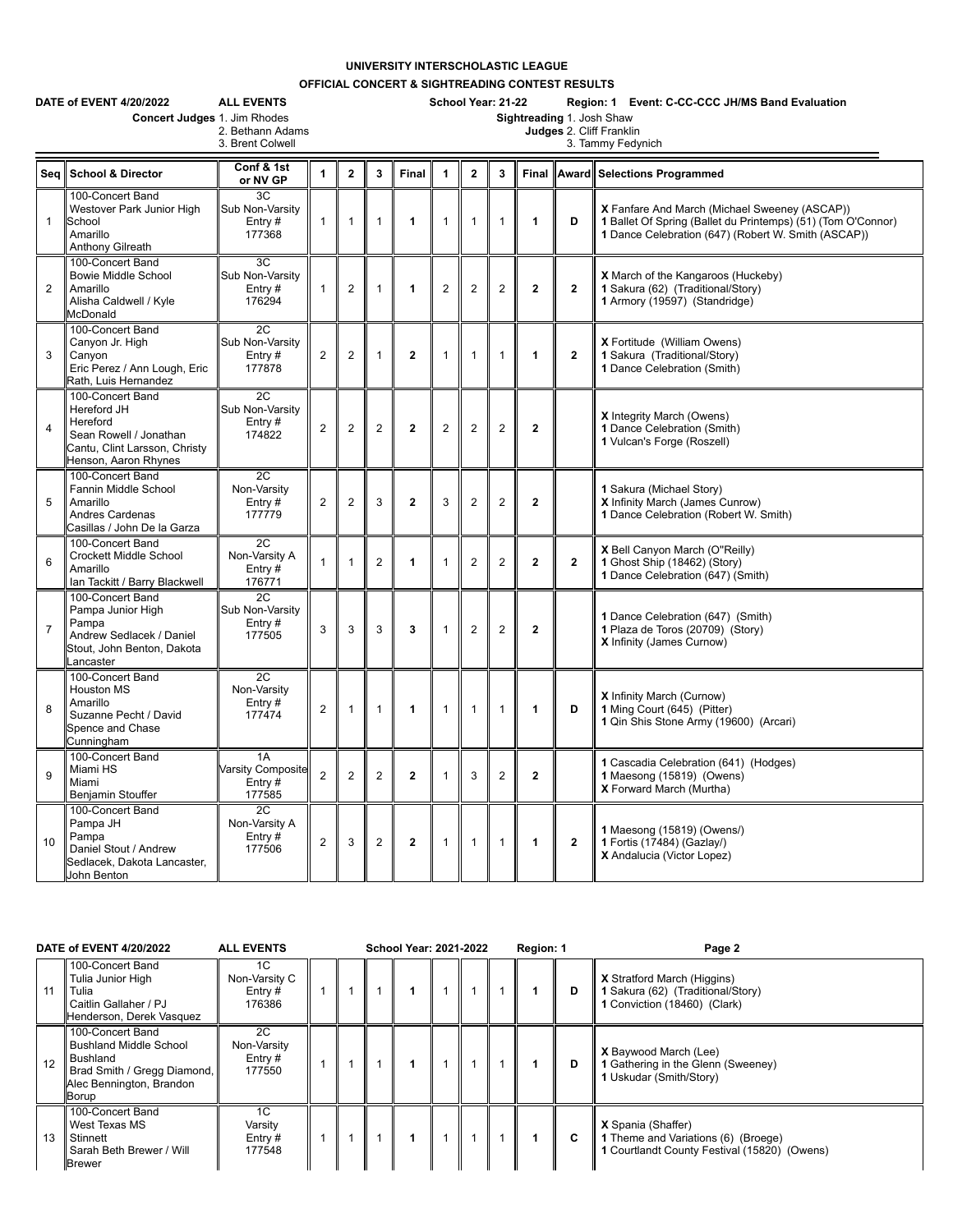## **UNIVERSITY INTERSCHOLASTIC LEAGUE**

**OFFICIAL CONCERT & SIGHTREADING CONTEST RESULTS**

|                | DATE of EVENT 4/20/2022<br>Concert Judges 1. Jim Rhodes                                                                        | <b>ALL EVENTS</b><br>2. Bethann Adams<br>3. Brent Colwell |                |                |                | School Year: 21-22<br>Region: 1 Event: C-CC-CCC JH/MS Band Evaluation<br>Sightreading 1. Josh Shaw<br>Judges 2. Cliff Franklin<br>3. Tammy Fedynich |                |                |                |              |                         |                                                                                                                                                                      |  |  |  |  |  |
|----------------|--------------------------------------------------------------------------------------------------------------------------------|-----------------------------------------------------------|----------------|----------------|----------------|-----------------------------------------------------------------------------------------------------------------------------------------------------|----------------|----------------|----------------|--------------|-------------------------|----------------------------------------------------------------------------------------------------------------------------------------------------------------------|--|--|--|--|--|
|                | Seg School & Director                                                                                                          | Conf & 1st<br>or NV GP                                    | $\mathbf{1}$   | $\mathbf{2}$   | 3              | Final                                                                                                                                               | $\overline{1}$ | $\overline{2}$ | 3              |              |                         | Final Award Selections Programmed                                                                                                                                    |  |  |  |  |  |
| $\mathbf{1}$   | 100-Concert Band<br>Westover Park Junior High<br>School<br>Amarillo<br>Anthony Gilreath                                        | 3C<br>Sub Non-Varsity<br>Entry#<br>177368                 | $\mathbf{1}$   | 1              | 1              | 1                                                                                                                                                   | $\mathbf{1}$   | $\overline{1}$ | $\mathbf{1}$   | 1            | D                       | X Fanfare And March (Michael Sweeney (ASCAP))<br>1 Ballet Of Spring (Ballet du Printemps) (51) (Tom O'Connor)<br>1 Dance Celebration (647) (Robert W. Smith (ASCAP)) |  |  |  |  |  |
| $\overline{2}$ | 100-Concert Band<br><b>Bowie Middle School</b><br>Amarillo<br>Alisha Caldwell / Kyle<br>McDonald                               | 3C<br>Sub Non-Varsity<br>Entry#<br>176294                 | 1              | $\overline{c}$ | 1              | 1                                                                                                                                                   | $\overline{2}$ | $\overline{2}$ | $\overline{2}$ | $\mathbf{2}$ | $\mathbf{2}$            | X March of the Kangaroos (Huckeby)<br>1 Sakura (62) (Traditional/Story)<br>1 Armory (19597) (Standridge)                                                             |  |  |  |  |  |
| 3              | 100-Concert Band<br>Canyon Jr. High<br>Canvon<br>Eric Perez / Ann Lough, Eric<br>Rath, Luis Hernandez                          | 2C<br>Sub Non-Varsity<br>Entry $#$<br>177878              | $\overline{2}$ | $\overline{c}$ | 1              | $\overline{2}$                                                                                                                                      | 1              | 1              | $\mathbf{1}$   | $\mathbf{1}$ | $\overline{2}$          | X Fortitude (William Owens)<br>1 Sakura (Traditional/Story)<br>1 Dance Celebration (Smith)                                                                           |  |  |  |  |  |
| $\overline{4}$ | 100-Concert Band<br>Hereford JH<br>Hereford<br>Sean Rowell / Jonathan<br>Cantu, Clint Larsson, Christy<br>Henson, Aaron Rhynes | 2C<br>Sub Non-Varsity<br>Entry#<br>174822                 | $\overline{2}$ | $\overline{c}$ | $\overline{2}$ | $\overline{2}$                                                                                                                                      | $\overline{2}$ | $\overline{2}$ | $\overline{2}$ | $\mathbf{2}$ |                         | <b>X</b> Integrity March (Owens)<br>1 Dance Celebration (Smith)<br>1 Vulcan's Forge (Roszell)                                                                        |  |  |  |  |  |
| 5              | 100-Concert Band<br>Fannin Middle School<br>Amarillo<br><b>Andres Cardenas</b><br>Casillas / John De la Garza                  | 2C<br>Non-Varsity<br>Entry#<br>177779                     | $\overline{2}$ | $\overline{2}$ | 3              | $\overline{2}$                                                                                                                                      | 3              | $\overline{2}$ | $\overline{2}$ | $\mathbf{2}$ |                         | 1 Sakura (Michael Story)<br>X Infinity March (James Cunrow)<br>1 Dance Celebration (Robert W. Smith)                                                                 |  |  |  |  |  |
| 6              | 100-Concert Band<br>Crockett Middle School<br>Amarillo<br>Ian Tackitt / Barry Blackwell                                        | 2C<br>Non-Varsity A<br>Entry $#$<br>176771                | 1              | 1              | $\overline{2}$ | 1                                                                                                                                                   | 1              | $\overline{2}$ | $\overline{2}$ | $\mathbf{2}$ | $\overline{\mathbf{2}}$ | X Bell Canyon March (O"Reilly)<br>1 Ghost Ship (18462) (Story)<br>1 Dance Celebration (647) (Smith)                                                                  |  |  |  |  |  |
| $\overline{7}$ | 100-Concert Band<br>Pampa Junior High<br>Pampa<br>Andrew Sedlacek / Daniel<br>Stout, John Benton, Dakota<br>ancaster           | $\overline{2C}$<br>Sub Non-Varsity<br>Entry $#$<br>177505 | 3              | 3              | 3              | 3                                                                                                                                                   | $\overline{1}$ | $\overline{2}$ | $\overline{2}$ | $\mathbf{2}$ |                         | 1 Dance Celebration (647) (Smith)<br>1 Plaza de Toros (20709) (Story)<br>X Infinity (James Curnow)                                                                   |  |  |  |  |  |
| 8              | 100-Concert Band<br><b>Houston MS</b><br>Amarillo<br>Suzanne Pecht / David<br>Spence and Chase<br>Cunningham                   | 2C<br>Non-Varsity<br>Entry#<br>177474                     | $\overline{2}$ | $\mathbf{1}$   | $\mathbf{1}$   | 1                                                                                                                                                   | $\overline{1}$ | 1              | $\mathbf{1}$   | 1            | D                       | <b>X</b> Infinity March (Curnow)<br>1 Ming Court (645) (Pitter)<br>1 Qin Shis Stone Army (19600) (Arcari)                                                            |  |  |  |  |  |
| 9              | 100-Concert Band<br>Miami HS<br>Miami<br>Benjamin Stouffer                                                                     | 1A<br><b>Varsity Composite</b><br>Entry#<br>177585        | $\overline{2}$ | $\overline{2}$ | $\overline{2}$ | $\mathbf{2}$                                                                                                                                        | $\mathbf{1}$   | 3              | $\mathbf{2}$   | $\mathbf{2}$ |                         | 1 Cascadia Celebration (641) (Hodges)<br>1 Maesong (15819) (Owens)<br>X Forward March (Murtha)                                                                       |  |  |  |  |  |
| 10             | 100-Concert Band<br>Pampa JH<br>Pampa<br>Daniel Stout / Andrew<br>Sedlacek, Dakota Lancaster,<br>John Benton                   | 2C<br>Non-Varsity A<br>Entry#<br>177506                   | $\overline{2}$ | 3              | $\overline{2}$ | $\overline{2}$                                                                                                                                      | $\mathbf{1}$   | $\overline{1}$ | $\mathbf{1}$   | 1            | $\mathbf{2}$            | 1 Maesong (15819) (Owens/)<br>1 Fortis (17484) (Gazlay/)<br>X Andalucia (Victor Lopez)                                                                               |  |  |  |  |  |

| DATE of EVENT 4/20/2022                                                                                                                 | <b>ALL EVENTS</b>                          |  | <b>School Year: 2021-2022</b> |  | Region: 1 |   | Page 2                                                                                                           |
|-----------------------------------------------------------------------------------------------------------------------------------------|--------------------------------------------|--|-------------------------------|--|-----------|---|------------------------------------------------------------------------------------------------------------------|
| 100-Concert Band<br>Tulia Junior High<br>11<br>Tulia<br>Caitlin Gallaher / PJ<br>Henderson, Derek Vasquez                               | 1C<br>Non-Varsity C<br>Entry $#$<br>176386 |  |                               |  |           | D | <b>X</b> Stratford March (Higgins)<br>1 Sakura (62) (Traditional/Story)<br>1 Conviction (18460) (Clark)          |
| 100-Concert Band<br><b>Bushland Middle School</b><br>Bushland<br>12<br>Brad Smith / Gregg Diamond,<br>Alec Bennington, Brandon<br>Borup | 2C<br>Non-Varsity<br>Entry $#$<br>177550   |  |                               |  |           | D | <b>X</b> Baywood March (Lee)<br>1 Gathering in the Glenn (Sweeney)<br>1 Uskudar (Smith/Story)                    |
| 100-Concert Band<br>West Texas MS<br>13<br>Stinnett<br>Sarah Beth Brewer / Will<br><b>Brewer</b>                                        | 1C<br>Varsity<br>Entry $#$<br>177548       |  |                               |  |           | C | <b>X</b> Spania (Shaffer)<br>1 Theme and Variations (6) (Broege)<br>1 Courtlandt County Festival (15820) (Owens) |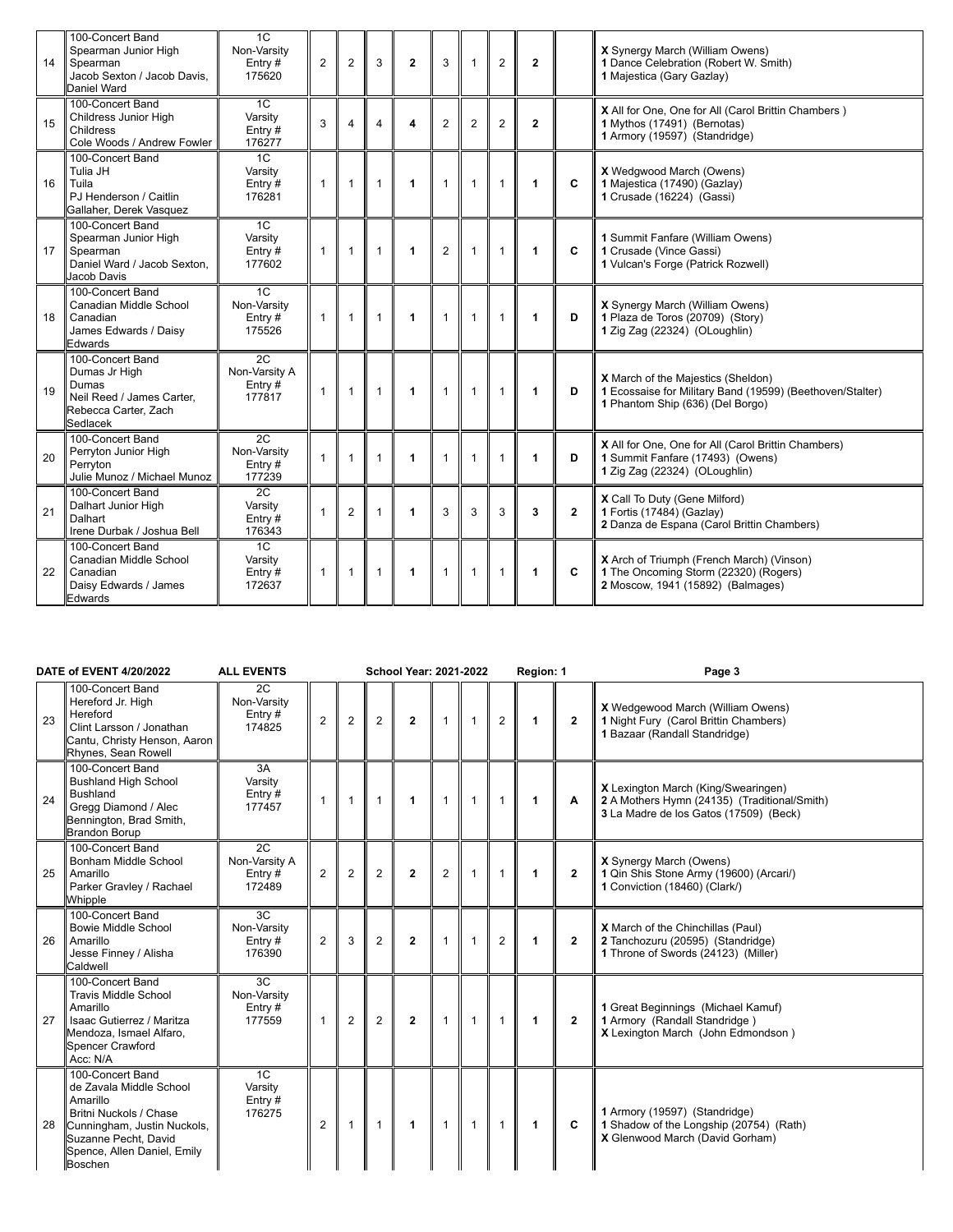| 14 | 100-Concert Band<br>Spearman Junior High<br>Spearman<br>Jacob Sexton / Jacob Davis.<br>Daniel Ward          | 1C<br>Non-Varsity<br>Entry#<br>175620      | $\overline{2}$ | $\overline{2}$ | 3            | $\overline{2}$       | 3              | $\mathbf{1}$ | $\overline{2}$ | $\mathbf{2}$   |              | X Synergy March (William Owens)<br>1 Dance Celebration (Robert W. Smith)<br>1 Majestica (Gary Gazlay)                               |
|----|-------------------------------------------------------------------------------------------------------------|--------------------------------------------|----------------|----------------|--------------|----------------------|----------------|--------------|----------------|----------------|--------------|-------------------------------------------------------------------------------------------------------------------------------------|
| 15 | 100-Concert Band<br>Childress Junior High<br>Childress<br>Cole Woods / Andrew Fowler                        | 1C<br>Varsitv<br>Entry $#$<br>176277       | 3              | 4              | 4            | 4                    | $\overline{2}$ | $\mathbf{2}$ | $\overline{2}$ | $\overline{2}$ |              | X All for One, One for All (Carol Brittin Chambers)<br>1 Mythos (17491) (Bernotas)<br>1 Armory (19597) (Standridge)                 |
| 16 | 100-Concert Band<br>Tulia JH<br>Tuila<br>PJ Henderson / Caitlin<br>Gallaher, Derek Vasquez                  | 1C<br>Varsity<br>Entry#<br>176281          | $\mathbf{1}$   | $\mathbf{1}$   | $\mathbf{1}$ | $\mathbf{1}$         | $\mathbf{1}$   | $\mathbf{1}$ | $\mathbf{1}$   | 1              | C            | X Wedgwood March (Owens)<br>1 Majestica (17490) (Gazlay)<br>1 Crusade (16224) (Gassi)                                               |
| 17 | 100-Concert Band<br>Spearman Junior High<br>Spearman<br>Daniel Ward / Jacob Sexton.<br>Jacob Davis          | 1C<br>Varsity<br>Entry#<br>177602          | $\mathbf{1}$   | $\mathbf{1}$   | $\mathbf{1}$ | $\blacktriangleleft$ | $\overline{2}$ | $\mathbf{1}$ | $\overline{1}$ | 1              | C            | 1 Summit Fanfare (William Owens)<br>1 Crusade (Vince Gassi)<br>1 Vulcan's Forge (Patrick Rozwell)                                   |
| 18 | 100-Concert Band<br>Canadian Middle School<br>Canadian<br>James Edwards / Daisy<br>Edwards                  | 1C<br>Non-Varsity<br>Entry#<br>175526      | $\mathbf{1}$   | $\mathbf{1}$   | $\mathbf{1}$ | $\blacktriangleleft$ | $\mathbf{1}$   | $\mathbf{1}$ | $\overline{1}$ | $\mathbf{1}$   | D            | X Synergy March (William Owens)<br>1 Plaza de Toros (20709) (Story)<br>1 Zig Zag (22324) (OLoughlin)                                |
| 19 | 100-Concert Band<br>Dumas Jr High<br>Dumas<br>Neil Reed / James Carter.<br>Rebecca Carter, Zach<br>Sedlacek | 2C<br>Non-Varsity A<br>Entry $#$<br>177817 | $\mathbf{1}$   | $\mathbf{1}$   | $\mathbf{1}$ | $\blacktriangleleft$ | $\mathbf{1}$   | $\mathbf{1}$ | $\mathbf{1}$   | 1              | D            | X March of the Majestics (Sheldon)<br>1 Ecossaise for Military Band (19599) (Beethoven/Stalter)<br>1 Phantom Ship (636) (Del Borgo) |
| 20 | 100-Concert Band<br>Perryton Junior High<br>Perryton<br>Julie Munoz / Michael Munoz                         | 2C<br>Non-Varsity<br>Entry $#$<br>177239   | $\mathbf{1}$   | $\mathbf{1}$   |              | $\blacktriangleleft$ | $\mathbf{1}$   | $\mathbf{1}$ | $\mathbf{1}$   | 1              | D            | X All for One, One for All (Carol Brittin Chambers)<br>1 Summit Fanfare (17493) (Owens)<br>1 Zig Zag (22324) (OLoughlin)            |
| 21 | 100-Concert Band<br>Dalhart Junior High<br>Dalhart<br>Irene Durbak / Joshua Bell                            | 2C<br>Varsity<br>Entry $#$<br>176343       | $\mathbf{1}$   | $\overline{2}$ |              | $\blacktriangleleft$ | 3              | 3            | 3              | 3              | $\mathbf{2}$ | X Call To Duty (Gene Milford)<br>1 Fortis (17484) (Gazlay)<br>2 Danza de Espana (Carol Brittin Chambers)                            |
| 22 | 100-Concert Band<br>Canadian Middle School<br>Canadian<br>Daisy Edwards / James<br>Edwards                  | 1C<br>Varsity<br>Entry#<br>172637          | $\mathbf{1}$   | $\mathbf{1}$   | $\mathbf{1}$ | $\mathbf 1$          | $\mathbf{1}$   | $\mathbf{1}$ | $\overline{1}$ | 1              | C            | X Arch of Triumph (French March) (Vinson)<br>1 The Oncoming Storm (22320) (Rogers)<br>2 Moscow, 1941 (15892) (Balmages)             |

|    | DATE of EVENT 4/20/2022                                                                                                                                                            | <b>ALL EVENTS</b>                        |                |                |                | <b>School Year: 2021-2022</b> |                |              |                | Region: 1    |                | Page 3                                                                                                                        |
|----|------------------------------------------------------------------------------------------------------------------------------------------------------------------------------------|------------------------------------------|----------------|----------------|----------------|-------------------------------|----------------|--------------|----------------|--------------|----------------|-------------------------------------------------------------------------------------------------------------------------------|
| 23 | 100-Concert Band<br>Hereford Jr. High<br>Hereford<br>Clint Larsson / Jonathan<br>Cantu, Christy Henson, Aaron<br>Rhynes, Sean Rowell                                               | 2C<br>Non-Varsity<br>Entry#<br>174825    | $\overline{2}$ | $\overline{2}$ | 2              | $\mathbf{2}$                  | $\mathbf{1}$   | $\mathbf{1}$ | 2              | $\mathbf{1}$ | $\mathbf{2}$   | <b>X</b> Wedgewood March (William Owens)<br>1 Night Fury (Carol Brittin Chambers)<br>1 Bazaar (Randall Standridge)            |
| 24 | 100-Concert Band<br><b>Bushland High School</b><br><b>Bushland</b><br>Gregg Diamond / Alec<br>Bennington, Brad Smith,<br><b>Brandon Borup</b>                                      | 3A<br>Varsity<br>Entry $#$<br>177457     | $\overline{1}$ | $\mathbf{1}$   | $\mathbf{1}$   | $\blacktriangleleft$          | $\mathbf{1}$   | $\mathbf{1}$ | $\mathbf{1}$   | $\mathbf{1}$ | A              | X Lexington March (King/Swearingen)<br>2 A Mothers Hymn (24135) (Traditional/Smith)<br>3 La Madre de los Gatos (17509) (Beck) |
| 25 | 100-Concert Band<br>Bonham Middle School<br>Amarillo<br>Parker Gravley / Rachael<br>Whipple                                                                                        | 2C<br>Non-Varsity A<br>Entry #<br>172489 | $\overline{2}$ | $\overline{2}$ | $\overline{2}$ | $\mathbf{2}$                  | $\overline{2}$ | $\mathbf{1}$ | $\mathbf{1}$   | 1            | $\mathbf{2}$   | X Synergy March (Owens)<br>1 Qin Shis Stone Army (19600) (Arcari/)<br>1 Conviction (18460) (Clark/)                           |
| 26 | 100-Concert Band<br><b>Bowie Middle School</b><br>Amarillo<br>Jesse Finney / Alisha<br>Caldwell                                                                                    | 3C<br>Non-Varsity<br>Entry#<br>176390    | $\overline{2}$ | 3              | $\overline{2}$ | $\mathbf{2}$                  | 1              | $\mathbf{1}$ | $\overline{2}$ | 1            | $\overline{2}$ | X March of the Chinchillas (Paul)<br>2 Tanchozuru (20595) (Standridge)<br>1 Throne of Swords (24123) (Miller)                 |
| 27 | 100-Concert Band<br><b>Travis Middle School</b><br>Amarillo<br>Isaac Gutierrez / Maritza<br>Mendoza, Ismael Alfaro,<br>Spencer Crawford<br>Acc: N/A                                | 3C<br>Non-Varsity<br>Entry#<br>177559    | $\mathbf{1}$   | $\overline{2}$ | 2              | $\overline{2}$                | $\mathbf{1}$   | $\mathbf{1}$ | $\mathbf{1}$   | 1            | $\overline{2}$ | 1 Great Beginnings (Michael Kamuf)<br>1 Armory (Randall Standridge)<br>X Lexington March (John Edmondson)                     |
| 28 | 100-Concert Band<br>de Zavala Middle School<br>Amarillo<br>Britni Nuckols / Chase<br>Cunningham, Justin Nuckols,<br>Suzanne Pecht, David<br>Spence, Allen Daniel, Emily<br>Boschen | 1C<br>Varsity<br>Entry#<br>176275        | $\overline{2}$ |                | $\mathbf{1}$   | $\blacktriangleleft$          | $\mathbf{1}$   | $\mathbf{1}$ | $\mathbf{1}$   | $\mathbf{1}$ | C              | 1 Armory (19597) (Standridge)<br>1 Shadow of the Longship (20754) (Rath)<br>X Glenwood March (David Gorham)                   |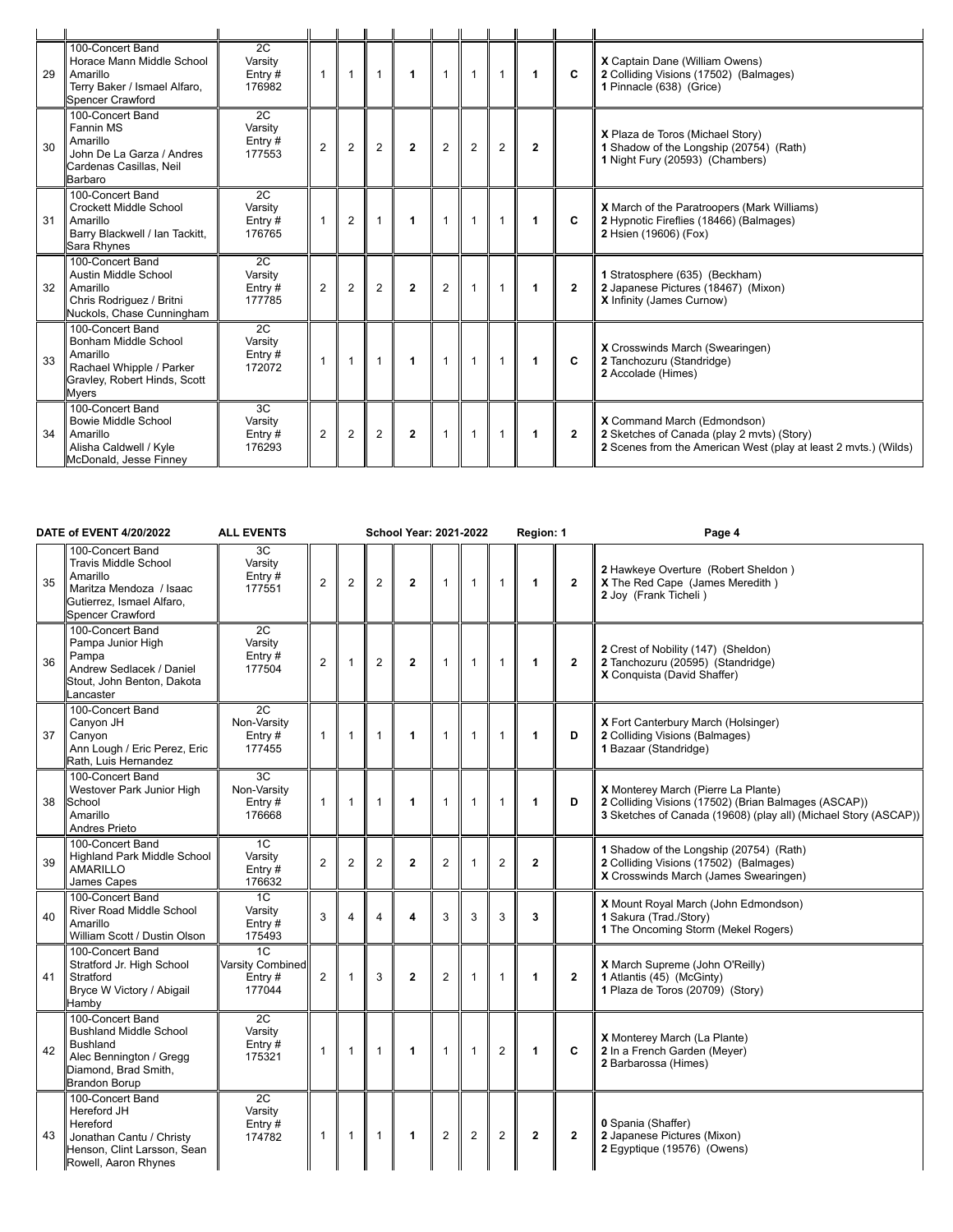| 29 | 100-Concert Band<br>Horace Mann Middle School<br>Amarillo<br>Terry Baker / Ismael Alfaro,<br>Spencer Crawford                     | 2C<br>Varsity<br>Entry $#$<br>176982 | $\overline{1}$ | $\mathbf{1}$   | $\overline{1}$ | 1              |                | $\overline{1}$ |                         |                | C              | <b>X</b> Captain Dane (William Owens)<br>2 Colliding Visions (17502) (Balmages)<br>1 Pinnacle (638) (Grice)                                  |
|----|-----------------------------------------------------------------------------------------------------------------------------------|--------------------------------------|----------------|----------------|----------------|----------------|----------------|----------------|-------------------------|----------------|----------------|----------------------------------------------------------------------------------------------------------------------------------------------|
| 30 | 100-Concert Band<br>Fannin MS<br>Amarillo<br>John De La Garza / Andres<br>Cardenas Casillas, Neil<br>Barbaro                      | 2C<br>Varsity<br>Entry#<br>177553    | $\overline{2}$ | $\overline{2}$ | $\overline{2}$ | $\overline{2}$ | $\overline{2}$ | $\overline{2}$ | $\overline{2}$          | $\overline{2}$ |                | X Plaza de Toros (Michael Story)<br>1 Shadow of the Longship (20754) (Rath)<br>1 Night Fury (20593) (Chambers)                               |
| 31 | 100-Concert Band<br>Crockett Middle School<br>Amarillo<br>Barry Blackwell / Ian Tackitt,<br>Sara Rhynes                           | 2C<br>Varsity<br>Entry $#$<br>176765 | $\overline{1}$ | 2              | $\overline{1}$ | 1              |                | $\overline{1}$ | $\overline{\mathbf{1}}$ | $\mathbf{1}$   | C              | X March of the Paratroopers (Mark Williams)<br>2 Hypnotic Fireflies (18466) (Balmages)<br>2 Hsien (19606) (Fox)                              |
| 32 | 100-Concert Band<br>Austin Middle School<br>Amarillo<br>Chris Rodriguez / Britni<br>Nuckols, Chase Cunningham                     | 2C<br>Varsity<br>Entry#<br>177785    | $\overline{2}$ | $\overline{2}$ | $\overline{2}$ | $\overline{2}$ | $\overline{2}$ | $\overline{1}$ |                         |                | $\overline{2}$ | 1 Stratosphere (635) (Beckham)<br>2 Japanese Pictures (18467) (Mixon)<br><b>X</b> Infinity (James Curnow)                                    |
| 33 | 100-Concert Band<br>Bonham Middle School<br>Amarillo<br>Rachael Whipple / Parker<br>Gravley, Robert Hinds, Scott<br><b>M</b> vers | 2C<br>Varsity<br>Entry $#$<br>172072 | $\overline{1}$ | 1              | $\overline{1}$ | 1              |                | $\mathbf{1}$   | $\overline{\mathbf{1}}$ | 1              | C              | X Crosswinds March (Swearingen)<br>2 Tanchozuru (Standridge)<br>2 Accolade (Himes)                                                           |
| 34 | 100-Concert Band<br>Bowie Middle School<br>Amarillo<br>Alisha Caldwell / Kyle<br>McDonald, Jesse Finney                           | 3C<br>Varsity<br>Entry $#$<br>176293 | $\overline{2}$ | 2              | $\overline{2}$ | $\mathbf{2}$   |                | $\overline{1}$ |                         |                | $\overline{2}$ | X Command March (Edmondson)<br>2 Sketches of Canada (play 2 mvts) (Story)<br>2 Scenes from the American West (play at least 2 mvts.) (Wilds) |

|    | DATE of EVENT 4/20/2022                                                                                                                         | <b>ALL EVENTS</b>                                 |                |                |                | School Year: 2021-2022 |                |                |                | Region: 1            |                | Page 4                                                                                                                                                         |
|----|-------------------------------------------------------------------------------------------------------------------------------------------------|---------------------------------------------------|----------------|----------------|----------------|------------------------|----------------|----------------|----------------|----------------------|----------------|----------------------------------------------------------------------------------------------------------------------------------------------------------------|
| 35 | 100-Concert Band<br><b>Travis Middle School</b><br>Amarillo<br>Maritza Mendoza / Isaac<br>Gutierrez, Ismael Alfaro,<br><b>Spencer Crawford</b>  | 3C<br>Varsity<br>Entry#<br>177551                 | $\overline{2}$ | $\overline{2}$ | 2              | $\overline{2}$         | 1              | $\mathbf{1}$   | $\mathbf{1}$   | $\blacktriangleleft$ | $\mathbf{2}$   | 2 Hawkeye Overture (Robert Sheldon)<br>X The Red Cape (James Meredith)<br>2 Joy (Frank Ticheli)                                                                |
| 36 | 100-Concert Band<br>Pampa Junior High<br>Pampa<br>Andrew Sedlacek / Daniel<br>Stout, John Benton, Dakota<br>Lancaster                           | 2C<br>Varsity<br>Entry#<br>177504                 | $\mathbf{2}$   | $\mathbf{1}$   | $\overline{2}$ | $\mathbf{2}$           | $\mathbf{1}$   | $\mathbf{1}$   | $\overline{1}$ | $\blacktriangleleft$ | $\mathbf{2}$   | 2 Crest of Nobility (147) (Sheldon)<br>2 Tanchozuru (20595) (Standridge)<br>X Conquista (David Shaffer)                                                        |
| 37 | 100-Concert Band<br>Canyon JH<br>Canyon<br>Ann Lough / Eric Perez, Eric<br>Rath. Luis Hernandez                                                 | 2C<br>Non-Varsity<br>Entry $#$<br>177455          | $\mathbf{1}$   | $\mathbf{1}$   | $\mathbf{1}$   | $\mathbf{1}$           | $\mathbf{1}$   | $\mathbf{1}$   | $\overline{1}$ | 1                    | D              | X Fort Canterbury March (Holsinger)<br>2 Colliding Visions (Balmages)<br>1 Bazaar (Standridge)                                                                 |
| 38 | 100-Concert Band<br>Westover Park Junior High<br>School<br>Amarillo<br><b>Andres Prieto</b>                                                     | 3C<br>Non-Varsity<br>Entry $#$<br>176668          | 1              | $\mathbf{1}$   | $\mathbf{1}$   | 1                      | $\mathbf{1}$   | $\mathbf{1}$   | $\mathbf{1}$   | 1                    | D              | X Monterey March (Pierre La Plante)<br>2 Colliding Visions (17502) (Brian Balmages (ASCAP))<br>3 Sketches of Canada (19608) (play all) (Michael Story (ASCAP)) |
| 39 | 100-Concert Band<br><b>Highland Park Middle School</b><br><b>AMARILLO</b><br>James Capes                                                        | 1C<br>Varsity<br>Entry#<br>176632                 | $\mathbf{2}$   | $\overline{2}$ | $\overline{2}$ | $\overline{2}$         | $\overline{2}$ |                | $\overline{2}$ | $\mathbf{2}$         |                | 1 Shadow of the Longship (20754) (Rath)<br>2 Colliding Visions (17502) (Balmages)<br>X Crosswinds March (James Swearingen)                                     |
| 40 | 100-Concert Band<br>River Road Middle School<br>Amarillo<br>William Scott / Dustin Olson                                                        | 1C<br>Varsity<br>Entry#<br>175493                 | 3              | $\overline{4}$ | $\overline{4}$ | 4                      | 3              | 3              | 3              | 3                    |                | X Mount Royal March (John Edmondson)<br>1 Sakura (Trad./Story)<br>1 The Oncoming Storm (Mekel Rogers)                                                          |
| 41 | 100-Concert Band<br>Stratford Jr. High School<br>Stratford<br>Bryce W Victory / Abigail<br>Hamby                                                | 1C<br><b>Varsity Combined</b><br>Entry#<br>177044 | $\overline{2}$ | 1              | 3              | $\mathbf{2}$           | $\overline{2}$ | $\mathbf{1}$   | $\mathbf{1}$   | 1                    | $\overline{2}$ | X March Supreme (John O'Reilly)<br>1 Atlantis (45) (McGinty)<br>1 Plaza de Toros (20709) (Story)                                                               |
| 42 | 100-Concert Band<br><b>Bushland Middle School</b><br><b>Bushland</b><br>Alec Bennington / Gregg<br>Diamond, Brad Smith,<br><b>Brandon Borup</b> | 2C<br>Varsity<br>Entry $#$<br>175321              | $\mathbf{1}$   | $\mathbf{1}$   | $\mathbf{1}$   | $\mathbf 1$            | $\mathbf{1}$   | $\mathbf{1}$   | $\overline{2}$ | 1                    | C              | X Monterey March (La Plante)<br>2 In a French Garden (Meyer)<br>2 Barbarossa (Himes)                                                                           |
| 43 | 100-Concert Band<br>Hereford JH<br>Hereford<br>Jonathan Cantu / Christy<br>Henson, Clint Larsson, Sean<br>Rowell, Aaron Rhynes                  | 2C<br>Varsitv<br>Entry#<br>174782                 | $\mathbf{1}$   | $\mathbf{1}$   | $\mathbf{1}$   | $\mathbf{1}$           | $\overline{2}$ | $\overline{2}$ | $\overline{2}$ | $\mathbf{2}$         | $\mathbf{2}$   | 0 Spania (Shaffer)<br>2 Japanese Pictures (Mixon)<br>2 Egyptique (19576) (Owens)                                                                               |